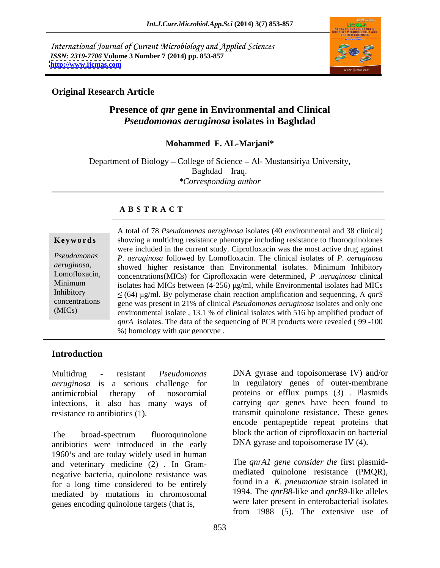International Journal of Current Microbiology and Applied Sciences *ISSN: 2319-7706* **Volume 3 Number 7 (2014) pp. 853-857 <http://www.ijcmas.com>**



# **Original Research Article**

# **Presence of** *qnr* **gene in Environmental and Clinical**  *Pseudomonas aeruginosa* **isolates in Baghdad**

#### **Mohammed F. AL-Marjani\***

Department of Biology – College of Science – Al- Mustansiriya University, Baghdad – Iraq. *\*Corresponding author*

## **A B S T R A C T**

|                | A total of 78 Pseudomonas aeruginosa isolates (40 environmental and 38 clinical)                 |  |  |  |
|----------------|--------------------------------------------------------------------------------------------------|--|--|--|
| Keywords       | showing a multidrug resistance phenotype including resistance to fluoroquinolones                |  |  |  |
|                | were included in the current study. Ciprofloxacin was the most active drug against               |  |  |  |
| Pseudomonas    | P. aeruginosa followed by Lomofloxacin. The clinical isolates of P. aeruginosa                   |  |  |  |
| aeruginosa,    | showed higher resistance than Environmental isolates. Minimum Inhibitory                         |  |  |  |
| Lomofloxacin,  | concentrations (MICs) for Ciprofloxacin were determined, P . <i>aeruginosa</i> clinical          |  |  |  |
| Minimum        | isolates had MICs between $(4-256)$ µg/ml, while Environmental isolates had MICs                 |  |  |  |
| Inhibitory     | $\leq$ (64) $\mu$ g/ml. By polymerase chain reaction amplification and sequencing, A <i>qnrS</i> |  |  |  |
| concentrations | gene was present in 21% of clinical <i>Pseudomonas aeruginosa</i> isolates and only one          |  |  |  |
| (MICs)         | environmental isolate, 13.1 % of clinical isolates with 516 bp amplified product of              |  |  |  |
|                | <i>qnrA</i> isolates. The data of the sequencing of PCR products were revealed (99-100           |  |  |  |
|                | %) homology with <i>gnr</i> genotype.                                                            |  |  |  |

# **Introduction**

*aeruginosa* is a serious challenge for antimicrobial therapy of nosocomial proteins or efflux pumps (3) . Plasmids infections, it also has many ways of resistance to antibiotics (1). transmit quinolone resistance. These genes

The broad-spectrum fluoroquinolone block the action of ciprofloxacin on bacterial antibiotics were introduced in the early 1960's and are today widely used in human and veterinary medicine  $(2)$ . In Gram-<br>negative hacteria quinolone resistance was mediated quinolone resistance (PMQR), negative bacteria, quinolone resistance was<br>for a long time considered to be entirely found in a K, pneumoniae strain isolated in for a long time considered to be entirely mediated by mutations in chromosomal genes encoding quinolone targets (that is,

Multidrug - resistant *Pseudomonas* DNA gyrase and topoisomerase IV) and/or in regulatory genes of outer-membrane carrying *qnr* genes have been found to encode pentapeptide repeat proteins that block the action of ciprofloxacin on bacterial DNA gyrase and topoisomerase IV (4).

> The *qnrA1 gene consider the* first plasmid mediated quinolone resistance (PMQR), found in <sup>a</sup> *K. pneumoniae* strain isolated in 1994. The *qnrB8*-like and *qnrB9*-like alleles were later present in enterobacterial isolates from 1988 (5). The extensive use of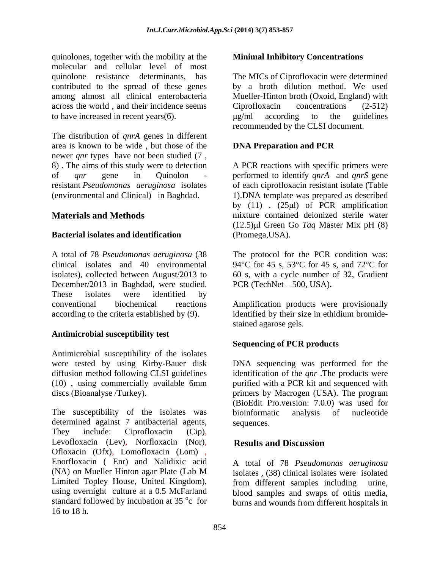quinolones, together with the mobility at the molecular and cellular level of most quinolone resistance determinants, has The MICs of Ciprofloxacin were determined contributed to the spread of these genes by a broth dilution method. We used among almost all clinical enterobacteria Mueller-Hinton broth (Oxoid, England) with across the world, and their incidence seems Ciprofloxacin concentrations (2-512) to have increased in recent years(6).  $\mu$ g/ml according to the guidelines

The distribution of *qnrA* genes in different area is known to be wide, but those of the **DNA Preparation and PCR** newer *qnr* types have not been studied (7 , 8) . The aims of this study were to detection A PCR reactions with specific primers were of *qnr* gene in Quinolon - performed to identify *qnrA* and *qnrS* gene resistant *Pseudomonas aeruginosa* isolates of each ciprofloxacin resistant isolate (Table (environmental and Clinical) in Baghdad. 1).DNA template was prepared as described

#### **Bacterial isolates and identification**

A total of 78 *Pseudomonas aeruginosa* (38 The protocol for the PCR condition was: clinical isolates and 40 environmental 94 °C for 45 s, 53 °C for 45 s, and 72 °C for isolates), collected between August/2013 to December/2013 in Baghdad, were studied. These isolates were identified by conventional biochemical reactions Amplification products were provisionally according to the criteria established by (9). identified by their size in ethidium bromide-

#### **Antimicrobial susceptibility test**

Antimicrobial susceptibility of the isolates<br>were tested by using Kirby-Bauer disk were tested by using Kirby-Bauer disk DNA sequencing was performed for the diffusion method following CLSI guidelines identification of the *qnr* .The products were (10) , using commercially available 6mm purified with a PCR kit and sequenced with

The susceptibility of the isolates was bioinformatic analysis of nucleotide determined against 7 antibacterial agents, sequences. They include: Ciprofloxacin (Cip),<br>Levofloxacin (Lev), Norfloxacin (Nor), **Results and Discussion** Ofloxacin (Ofx), Lomofloxacin (Lom) , Enorfloxacin ( Enr) and Nalidixic acid (NA) on Mueller Hinton agar Plate (Lab M Limited Topley House, United Kingdom), using overnight culture at a 0.5 McFarland blood samples and swaps of otitis media, standard followed by incubation at  $35^{\circ}c$  for burns and wounds from different hospitals in 16 to 18 h.

#### **Minimal Inhibitory Concentrations**

Ciprofloxacin concentrations (2-512) g/ml according to the guidelines recommended by the CLSI document.

## **DNA Preparation and PCR**

**Materials and Methods mixture** contained deionized sterile water by  $(11)$  .  $(25 \mu l)$  of PCR amplification  $(12.5)$ µl Green Go *Taq* Master Mix pH  $(8)$ (Promega,USA).

> 60 s, with a cycle number of 32, Gradient PCR (TechNet - 500, USA).

> stained agarose gels.

#### **Sequencing of PCR products**

discs (Bioanalyse /Turkey). primers by Macrogen (USA). The program (BioEdit Pro.version: 7.0.0) was used for bioinformatic analysis of nucleotide sequences.

#### **Results and Discussion**

A total of 78 *Pseudomonas aeruginosa* isolates , (38) clinical isolates were isolated from different samples including urine,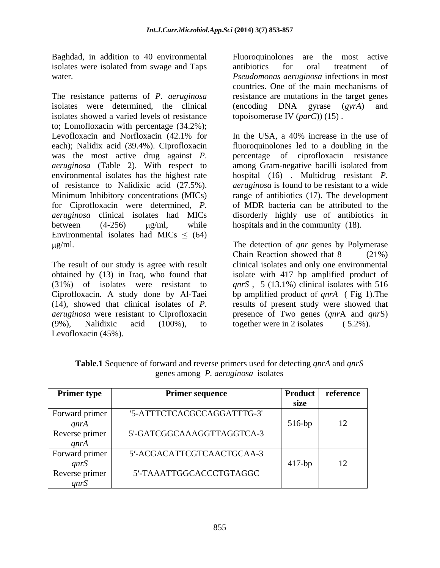Baghdad, in addition to 40 environmental Fluoroquinolones are the most active isolates were isolated from swage and Taps antibiotics for oral treatment of

The resistance patterns of *P. aeruginosa* resistance are mutations in the target genes isolates were determined, the clinical (encoding DNA gyrase (gyrA) and isolates showed a varied levels of resistance to; Lomofloxacin with percentage (34.2%); Levofloxacin and Norfloxacin (42.1% for In the USA, a 40% increase in the use of each); Nalidix acid (39.4%). Ciprofloxacin was the most active drug against *P*. percentage of ciprofloxacin resistance *aeruginosa* (Table 2). With respect to among Gram-negative bacilli isolated from environmental isolates has the highest rate hospital (16) . Multidrug resistant *P.*  of resistance to Nalidixic acid (27.5%). *aeruginosa* is found to be resistant to a wide Minimum Inhibitory concentrations (MICs) range of antibiotics (17). The development for Ciprofloxacin were determined, *P.*  of MDR bacteria can be attributed to the *aeruginosa* clinical isolates had MICs disorderly highly use of antibiotics in between  $(4-256)$   $\mu$ g/ml, while hospitals and in the community (18). Environmental isolates had MICs  $\leq$  (64)

The result of our study is agree with result clinical isolates and only one environmental obtained by (13) in Iraq, who found that isolate with 417 bp amplified product of (31%) of isolates were resistant to *qnrS* , 5 (13.1%) clinical isolates with 516 Ciprofloxacin. A study done by Al-Taei bp amplified product of *qnrA* ( Fig 1).The (14), showed that clinical isolates of *P.* results of present study were showed that *aeruginosa* were resistant to Ciprofloxacin presence of Two genes (*qnr*A and *qnr*S) (9%), Nalidixic acid (100%), to together were in 2 isolates (5.2%). Levofloxacin (45%).

water. *Pseudomonas aeruginosa* infections in most Fluoroquinolones are the most active antibiotics for oral treatment of countries. One of the main mechanisms of (encoding DNA gyrase (*gyrA*) and topoisomerase IV (*parC*)) (15) .

> In the USA, a 40% increase in the use of fluoroquinolones led to a doubling in the

g/ml. The detection of *qnr* genes by Polymerase Chain Reaction showed that 8 (21%) together were in 2 isolates  $(5.2\%)$ .

| <b>Primer type</b> | <b>Primer sequence</b>     |           | <b>Product</b> reference |
|--------------------|----------------------------|-----------|--------------------------|
|                    |                            | size      |                          |
| Forward primer     | '5-ATTTCTCACGCCAGGATTTG-3' |           |                          |
| anrA               |                            | $516-bp$  |                          |
| Reverse primer     | 5'-GATCGGCAAAGGTTAGGTCA-3  |           |                          |
| anrA               |                            |           |                          |
| Forward primer     | 5'-ACGACATTCGTCAACTGCAA-3  |           |                          |
| anrS               |                            | $417$ -bp | $\overline{1}$           |
| Reverse primer     | 5'-TAAATTGGCACCCTGTAGGC    |           |                          |
| anrS               |                            |           |                          |

**Table.1** Sequence of forward and reverse primers used for detecting *qnrA* and *qnrS*  genes among *P. aeruginosa* isolates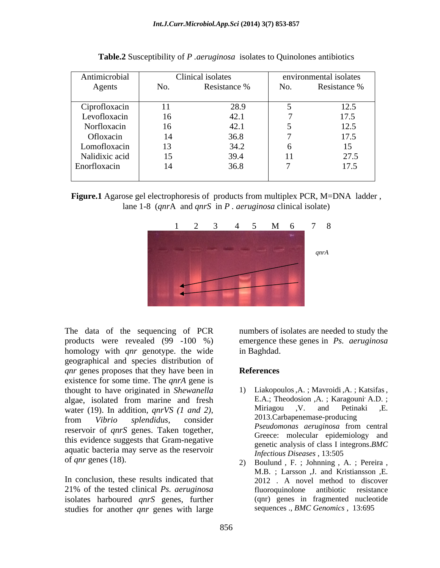| Antimicrobial  |     | Clinical isolates |     | environmental isolates |
|----------------|-----|-------------------|-----|------------------------|
| Agents         | No. | Resistance %      | No. | Resistance %           |
| Ciprofloxacin  |     | 28.9              |     | 125<br>14.J            |
| Levofloxacin   | 16  |                   |     | 17.5                   |
| Norfloxacin    | 16  | 42.1              |     | 125<br>12.5            |
| Ofloxacin      | 14  | 36.8              |     | 17 <sup>5</sup>        |
| Lomofloxacin   | 13  | 34.2              |     |                        |
| Nalidixic acid | 15  | 39.4              | 11  | 27.5                   |
| Enorfloxacin   | 14  | 36.8              |     | 17.5                   |
|                |     |                   |     |                        |

| <b>Table.2</b> Susceptibility of <i>P aeruginosa</i> isolates to Quinolones antibiotics |  |  |
|-----------------------------------------------------------------------------------------|--|--|
|                                                                                         |  |  |

# **Figure.1** Agarose gel electrophoresis of products from multiplex PCR, M=DNA ladder , lane 1-8 (*qnr*A and *qnrS* in *P . aeruginosa* clinical isolate)



The data of the sequencing of PCR numbers of isolates are needed to study the products were revealed (99 -100 %) emergence these genes in *Ps. aeruginosa* homology with *qnr* genotype. the wide geographical and species distribution of *qnr* genes proposes that they have been in **References** existence for some time. The *qnrA* gene is thought to have originated in *Shewanella* 1) Liakopoulos, A.; Mavroidi, A.; Katsifas, algae isolated from marine and fresh E.A.; Theodosion, A.; Karagouni' A.D.; algae, isolated from marine and fresh E.A.; Theodosion ,A.; Karagouni' A.D.;<br>water (19) In addition *anrVS* (1 and 2) Miriagou ,V. and Petinaki ,E. water (19). In addition, *qnrVS* (1 *and* 2), Miriagou , V. and Petinaki , E.<br>from *Vibrio splendidus*, consider 2013.Carbapenemase-producing reservoir of *qnrS* genes. Taken together,<br>
exervoir of *qnrS* genes. Taken together, this evidence suggests that Gram-negative aquatic bacteria may serve as the reservoir of *qnr* genes (18). 2) Boulund, F.; Johnning, A.; Pereira,

In conclusion, these results indicated that 21% of the tested clinical *Ps. aeruginosa* isolates harboured *qnrS* genes, further studies for another *qnr* genes with large

in Baghdad.

#### **References**

- 1) Liakopoulos, A. ; Mavroidi, A. ; Katsifas, E.A.; Theodosion, A. ; Karagouni' A.D. ; Miriagou ,V. and Petinaki ,E. 2013.Carbapenemase-producing *Pseudomonas aeruginosa* from central Greece: molecular epidemiology and genetic analysis of class I integrons.*BMC Infectious Diseases* , 13:505
- 2) Boulund , F. ; Johnning , A. ; Pereira , M.B. ; Larsson ,J. and Kristiansson ,E. 2012 . A novel method to discover fluoroquinolone antibiotic resistance (qnr) genes in fragmented nucleotide sequences ., *BMC Genomics* , 13:695